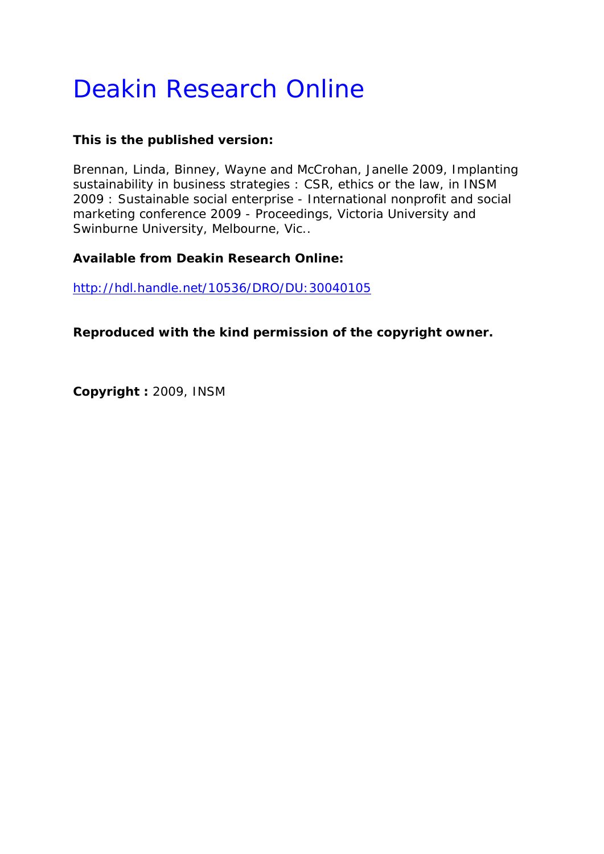# Deakin Research Online

# **This is the published version:**

Brennan, Linda, Binney, Wayne and McCrohan, Janelle 2009, Implanting sustainability in business strategies : CSR, ethics or the law*, in INSM 2009 : Sustainable social enterprise - International nonprofit and social marketing conference 2009 - Proceedings*, Victoria University and Swinburne University, Melbourne, Vic..

# **Available from Deakin Research Online:**

http://hdl.handle.net/10536/DRO/DU:30040105

**Reproduced with the kind permission of the copyright owner.** 

**Copyright :** 2009, INSM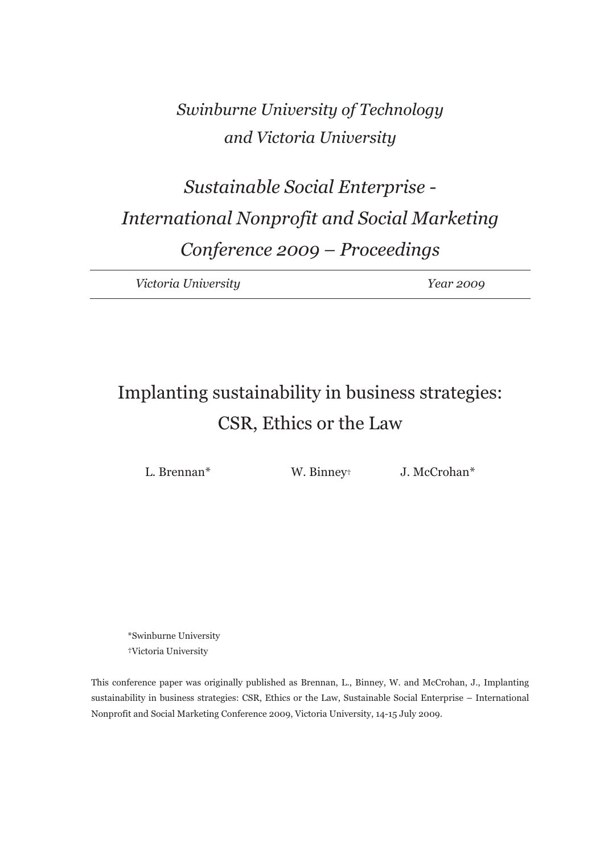# *Swinburne University of Technology and Victoria University*

# *Sustainable Social Enterprise - International Nonprofit and Social Marketing Conference 2009 – Proceedings*

*Victoria University Year 2009* 

# Implanting sustainability in business strategies: CSR, Ethics or the Law

L. Brennan<sup>\*</sup> W. Binney<sup>†</sup> J. McCrohan<sup>\*</sup>

\*Swinburne University †Victoria University

This conference paper was originally published as Brennan, L., Binney, W. and McCrohan, J., Implanting sustainability in business strategies: CSR, Ethics or the Law, Sustainable Social Enterprise – International Nonprofit and Social Marketing Conference 2009, Victoria University, 14-15 July 2009.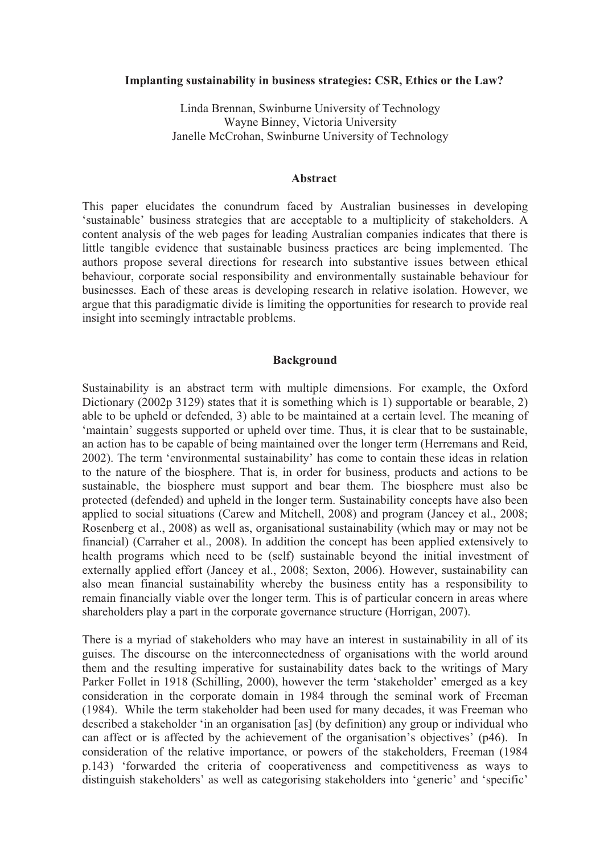#### **Implanting sustainability in business strategies: CSR, Ethics or the Law?**

Linda Brennan, Swinburne University of Technology Wayne Binney, Victoria University Janelle McCrohan, Swinburne University of Technology

#### **Abstract**

This paper elucidates the conundrum faced by Australian businesses in developing 'sustainable' business strategies that are acceptable to a multiplicity of stakeholders. A content analysis of the web pages for leading Australian companies indicates that there is little tangible evidence that sustainable business practices are being implemented. The authors propose several directions for research into substantive issues between ethical behaviour, corporate social responsibility and environmentally sustainable behaviour for businesses. Each of these areas is developing research in relative isolation. However, we argue that this paradigmatic divide is limiting the opportunities for research to provide real insight into seemingly intractable problems.

## **Background**

Sustainability is an abstract term with multiple dimensions. For example, the Oxford Dictionary (2002p 3129) states that it is something which is 1) supportable or bearable, 2) able to be upheld or defended, 3) able to be maintained at a certain level. The meaning of 'maintain' suggests supported or upheld over time. Thus, it is clear that to be sustainable, an action has to be capable of being maintained over the longer term (Herremans and Reid, 2002). The term 'environmental sustainability' has come to contain these ideas in relation to the nature of the biosphere. That is, in order for business, products and actions to be sustainable, the biosphere must support and bear them. The biosphere must also be protected (defended) and upheld in the longer term. Sustainability concepts have also been applied to social situations (Carew and Mitchell, 2008) and program (Jancey et al., 2008; Rosenberg et al., 2008) as well as, organisational sustainability (which may or may not be financial) (Carraher et al., 2008). In addition the concept has been applied extensively to health programs which need to be (self) sustainable beyond the initial investment of externally applied effort (Jancey et al., 2008; Sexton, 2006). However, sustainability can also mean financial sustainability whereby the business entity has a responsibility to remain financially viable over the longer term. This is of particular concern in areas where shareholders play a part in the corporate governance structure (Horrigan, 2007).

There is a myriad of stakeholders who may have an interest in sustainability in all of its guises. The discourse on the interconnectedness of organisations with the world around them and the resulting imperative for sustainability dates back to the writings of Mary Parker Follet in 1918 (Schilling, 2000), however the term 'stakeholder' emerged as a key consideration in the corporate domain in 1984 through the seminal work of Freeman (1984). While the term stakeholder had been used for many decades, it was Freeman who described a stakeholder 'in an organisation [as] (by definition) any group or individual who can affect or is affected by the achievement of the organisation's objectives' (p46). In consideration of the relative importance, or powers of the stakeholders, Freeman (1984 p.143) 'forwarded the criteria of cooperativeness and competitiveness as ways to distinguish stakeholders' as well as categorising stakeholders into 'generic' and 'specific'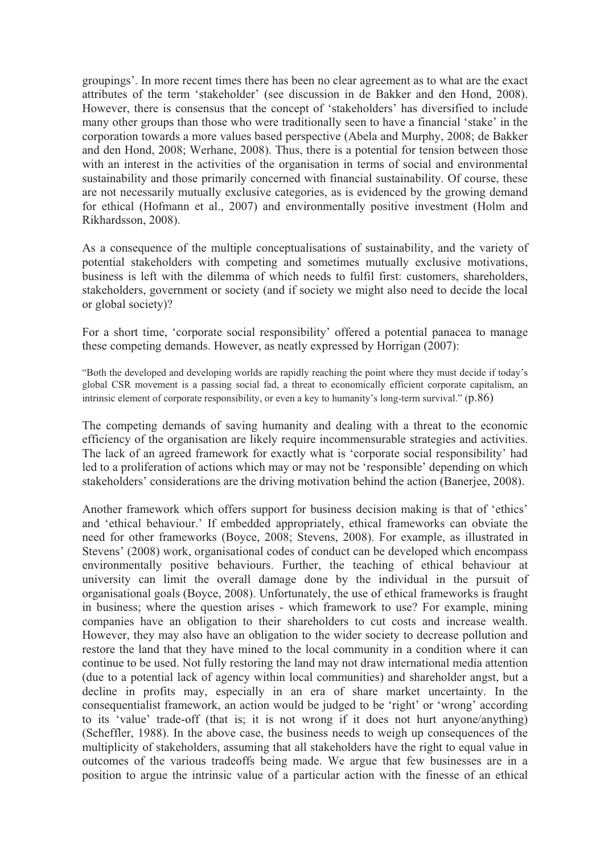groupings'. In more recent times there has been no clear agreement as to what are the exact attributes of the term 'stakeholder' (see discussion in de Bakker and den Hond, 2008). However, there is consensus that the concept of 'stakeholders' has diversified to include many other groups than those who were traditionally seen to have a financial 'stake' in the corporation towards a more values based perspective (Abela and Murphy, 2008; de Bakker and den Hond, 2008; Werhane, 2008). Thus, there is a potential for tension between those with an interest in the activities of the organisation in terms of social and environmental sustainability and those primarily concerned with financial sustainability. Of course, these are not necessarily mutually exclusive categories, as is evidenced by the growing demand for ethical (Hofmann et al., 2007) and environmentally positive investment (Holm and Rikhardsson, 2008).

As a consequence of the multiple conceptualisations of sustainability, and the variety of potential stakeholders with competing and sometimes mutually exclusive motivations, business is left with the dilemma of which needs to fulfil first: customers, shareholders, stakeholders, government or society (and if society we might also need to decide the local or global society)?

For a short time, 'corporate social responsibility' offered a potential panacea to manage these competing demands. However, as neatly expressed by Horrigan (2007):

"Both the developed and developing worlds are rapidly reaching the point where they must decide if today's global CSR movement is a passing social fad, a threat to economically efficient corporate capitalism, an intrinsic element of corporate responsibility, or even a key to humanity's long-term survival." (p.86)

The competing demands of saving humanity and dealing with a threat to the economic efficiency of the organisation are likely require incommensurable strategies and activities. The lack of an agreed framework for exactly what is 'corporate social responsibility' had led to a proliferation of actions which may or may not be 'responsible' depending on which stakeholders' considerations are the driving motivation behind the action (Banerjee, 2008).

Another framework which offers support for business decision making is that of 'ethics' and 'ethical behaviour.' If embedded appropriately, ethical frameworks can obviate the need for other frameworks (Boyce, 2008; Stevens, 2008). For example, as illustrated in Stevens' (2008) work, organisational codes of conduct can be developed which encompass environmentally positive behaviours. Further, the teaching of ethical behaviour at university can limit the overall damage done by the individual in the pursuit of organisational goals (Boyce, 2008). Unfortunately, the use of ethical frameworks is fraught in business; where the question arises - which framework to use? For example, mining companies have an obligation to their shareholders to cut costs and increase wealth. However, they may also have an obligation to the wider society to decrease pollution and restore the land that they have mined to the local community in a condition where it can continue to be used. Not fully restoring the land may not draw international media attention (due to a potential lack of agency within local communities) and shareholder angst, but a decline in profits may, especially in an era of share market uncertainty. In the consequentialist framework, an action would be judged to be 'right' or 'wrong' according to its 'value' trade-off (that is; it is not wrong if it does not hurt anyone/anything) (Scheffler, 1988). In the above case, the business needs to weigh up consequences of the multiplicity of stakeholders, assuming that all stakeholders have the right to equal value in outcomes of the various tradeoffs being made. We argue that few businesses are in a position to argue the intrinsic value of a particular action with the finesse of an ethical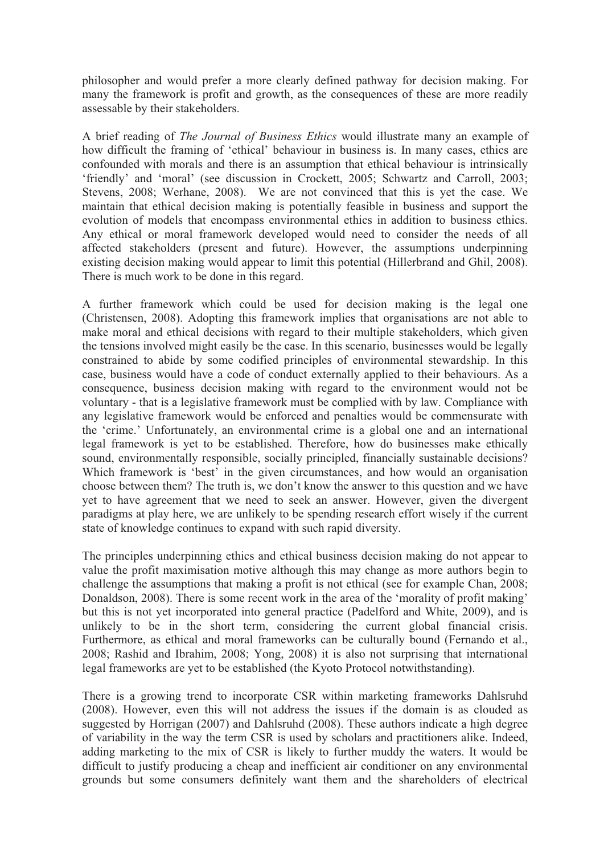philosopher and would prefer a more clearly defined pathway for decision making. For many the framework is profit and growth, as the consequences of these are more readily assessable by their stakeholders.

A brief reading of *The Journal of Business Ethics* would illustrate many an example of how difficult the framing of 'ethical' behaviour in business is. In many cases, ethics are confounded with morals and there is an assumption that ethical behaviour is intrinsically 'friendly' and 'moral' (see discussion in Crockett, 2005; Schwartz and Carroll, 2003; Stevens, 2008; Werhane, 2008). We are not convinced that this is yet the case. We maintain that ethical decision making is potentially feasible in business and support the evolution of models that encompass environmental ethics in addition to business ethics. Any ethical or moral framework developed would need to consider the needs of all affected stakeholders (present and future). However, the assumptions underpinning existing decision making would appear to limit this potential (Hillerbrand and Ghil, 2008). There is much work to be done in this regard.

A further framework which could be used for decision making is the legal one (Christensen, 2008). Adopting this framework implies that organisations are not able to make moral and ethical decisions with regard to their multiple stakeholders, which given the tensions involved might easily be the case. In this scenario, businesses would be legally constrained to abide by some codified principles of environmental stewardship. In this case, business would have a code of conduct externally applied to their behaviours. As a consequence, business decision making with regard to the environment would not be voluntary - that is a legislative framework must be complied with by law. Compliance with any legislative framework would be enforced and penalties would be commensurate with the 'crime.' Unfortunately, an environmental crime is a global one and an international legal framework is yet to be established. Therefore, how do businesses make ethically sound, environmentally responsible, socially principled, financially sustainable decisions? Which framework is 'best' in the given circumstances, and how would an organisation choose between them? The truth is, we don't know the answer to this question and we have yet to have agreement that we need to seek an answer. However, given the divergent paradigms at play here, we are unlikely to be spending research effort wisely if the current state of knowledge continues to expand with such rapid diversity.

The principles underpinning ethics and ethical business decision making do not appear to value the profit maximisation motive although this may change as more authors begin to challenge the assumptions that making a profit is not ethical (see for example Chan, 2008; Donaldson, 2008). There is some recent work in the area of the 'morality of profit making' but this is not yet incorporated into general practice (Padelford and White, 2009), and is unlikely to be in the short term, considering the current global financial crisis. Furthermore, as ethical and moral frameworks can be culturally bound (Fernando et al., 2008; Rashid and Ibrahim, 2008; Yong, 2008) it is also not surprising that international legal frameworks are yet to be established (the Kyoto Protocol notwithstanding).

There is a growing trend to incorporate CSR within marketing frameworks Dahlsruhd (2008). However, even this will not address the issues if the domain is as clouded as suggested by Horrigan (2007) and Dahlsruhd (2008). These authors indicate a high degree of variability in the way the term CSR is used by scholars and practitioners alike. Indeed, adding marketing to the mix of CSR is likely to further muddy the waters. It would be difficult to justify producing a cheap and inefficient air conditioner on any environmental grounds but some consumers definitely want them and the shareholders of electrical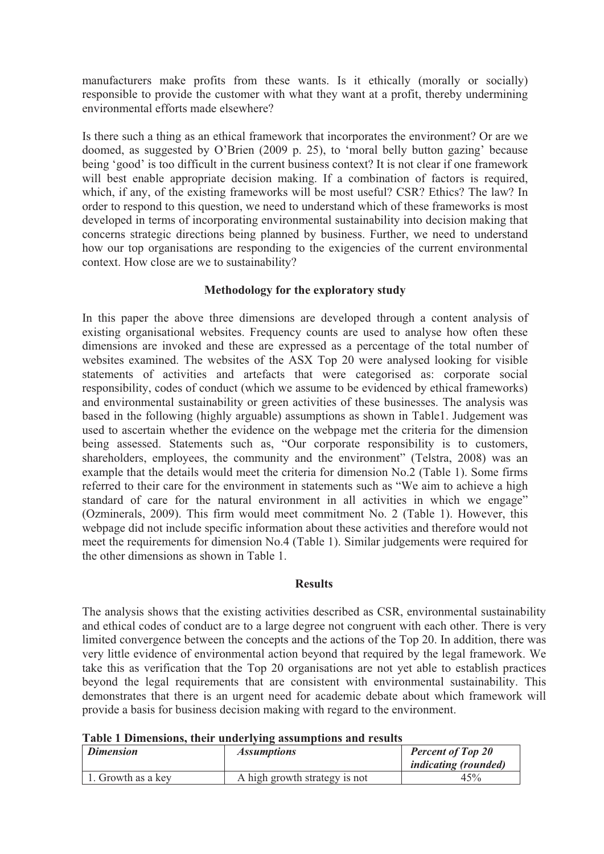manufacturers make profits from these wants. Is it ethically (morally or socially) responsible to provide the customer with what they want at a profit, thereby undermining environmental efforts made elsewhere?

Is there such a thing as an ethical framework that incorporates the environment? Or are we doomed, as suggested by O'Brien (2009 p. 25), to 'moral belly button gazing' because being 'good' is too difficult in the current business context? It is not clear if one framework will best enable appropriate decision making. If a combination of factors is required, which, if any, of the existing frameworks will be most useful? CSR? Ethics? The law? In order to respond to this question, we need to understand which of these frameworks is most developed in terms of incorporating environmental sustainability into decision making that concerns strategic directions being planned by business. Further, we need to understand how our top organisations are responding to the exigencies of the current environmental context. How close are we to sustainability?

# **Methodology for the exploratory study**

In this paper the above three dimensions are developed through a content analysis of existing organisational websites. Frequency counts are used to analyse how often these dimensions are invoked and these are expressed as a percentage of the total number of websites examined. The websites of the ASX Top 20 were analysed looking for visible statements of activities and artefacts that were categorised as: corporate social responsibility, codes of conduct (which we assume to be evidenced by ethical frameworks) and environmental sustainability or green activities of these businesses. The analysis was based in the following (highly arguable) assumptions as shown in Table1. Judgement was used to ascertain whether the evidence on the webpage met the criteria for the dimension being assessed. Statements such as, "Our corporate responsibility is to customers, shareholders, employees, the community and the environment" (Telstra, 2008) was an example that the details would meet the criteria for dimension No.2 (Table 1). Some firms referred to their care for the environment in statements such as "We aim to achieve a high standard of care for the natural environment in all activities in which we engage" (Ozminerals, 2009). This firm would meet commitment No. 2 (Table 1). However, this webpage did not include specific information about these activities and therefore would not meet the requirements for dimension No.4 (Table 1). Similar judgements were required for the other dimensions as shown in Table 1.

## **Results**

The analysis shows that the existing activities described as CSR, environmental sustainability and ethical codes of conduct are to a large degree not congruent with each other. There is very limited convergence between the concepts and the actions of the Top 20. In addition, there was very little evidence of environmental action beyond that required by the legal framework. We take this as verification that the Top 20 organisations are not yet able to establish practices beyond the legal requirements that are consistent with environmental sustainability. This demonstrates that there is an urgent need for academic debate about which framework will provide a basis for business decision making with regard to the environment.

**Table 1 Dimensions, their underlying assumptions and results** 

| <b>Dimension</b>   | <i>Assumptions</i>            | <b>Percent of Top 20</b><br><i>indicating (rounded)</i> |
|--------------------|-------------------------------|---------------------------------------------------------|
| 1. Growth as a key | A high growth strategy is not | 45%                                                     |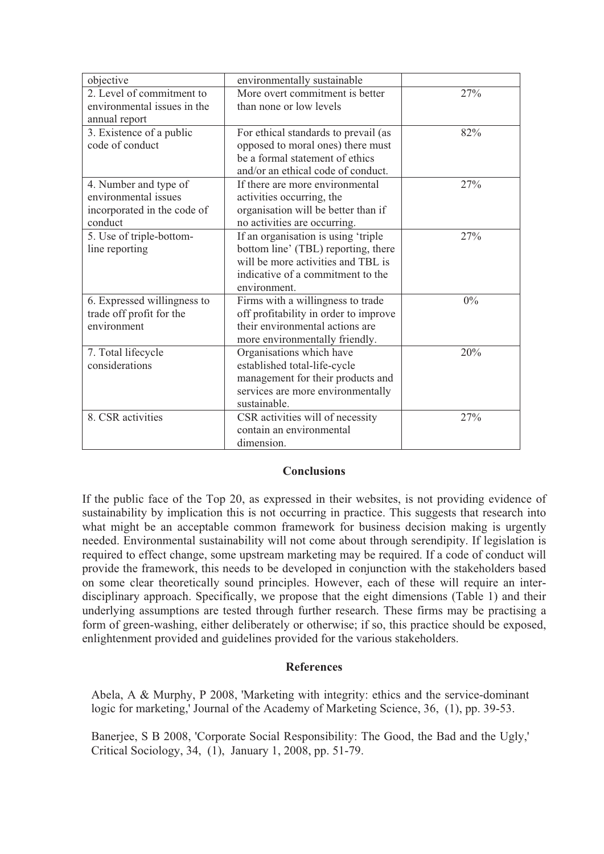| objective                   | environmentally sustainable           |     |
|-----------------------------|---------------------------------------|-----|
| 2. Level of commitment to   | More overt commitment is better       | 27% |
| environmental issues in the | than none or low levels               |     |
| annual report               |                                       |     |
| 3. Existence of a public    | For ethical standards to prevail (as  | 82% |
| code of conduct             | opposed to moral ones) there must     |     |
|                             | be a formal statement of ethics       |     |
|                             | and/or an ethical code of conduct.    |     |
| 4. Number and type of       | If there are more environmental       | 27% |
| environmental issues        | activities occurring, the             |     |
| incorporated in the code of | organisation will be better than if   |     |
| conduct                     | no activities are occurring.          |     |
| 5. Use of triple-bottom-    | If an organisation is using 'triple   | 27% |
| line reporting              | bottom line' (TBL) reporting, there   |     |
|                             | will be more activities and TBL is    |     |
|                             | indicative of a commitment to the     |     |
|                             | environment.                          |     |
| 6. Expressed willingness to | Firms with a willingness to trade     | 0%  |
| trade off profit for the    | off profitability in order to improve |     |
| environment                 | their environmental actions are       |     |
|                             | more environmentally friendly.        |     |
| 7. Total lifecycle          | Organisations which have              | 20% |
| considerations              | established total-life-cycle          |     |
|                             | management for their products and     |     |
|                             | services are more environmentally     |     |
|                             | sustainable.                          |     |
| 8. CSR activities           | CSR activities will of necessity      | 27% |
|                             | contain an environmental              |     |
|                             | dimension.                            |     |

## **Conclusions**

If the public face of the Top 20, as expressed in their websites, is not providing evidence of sustainability by implication this is not occurring in practice. This suggests that research into what might be an acceptable common framework for business decision making is urgently needed. Environmental sustainability will not come about through serendipity. If legislation is required to effect change, some upstream marketing may be required. If a code of conduct will provide the framework, this needs to be developed in conjunction with the stakeholders based on some clear theoretically sound principles. However, each of these will require an interdisciplinary approach. Specifically, we propose that the eight dimensions (Table 1) and their underlying assumptions are tested through further research. These firms may be practising a form of green-washing, either deliberately or otherwise; if so, this practice should be exposed, enlightenment provided and guidelines provided for the various stakeholders.

## **References**

Abela, A & Murphy, P 2008, 'Marketing with integrity: ethics and the service-dominant logic for marketing,' Journal of the Academy of Marketing Science, 36, (1), pp. 39-53.

Banerjee, S B 2008, 'Corporate Social Responsibility: The Good, the Bad and the Ugly,' Critical Sociology, 34, (1), January 1, 2008, pp. 51-79.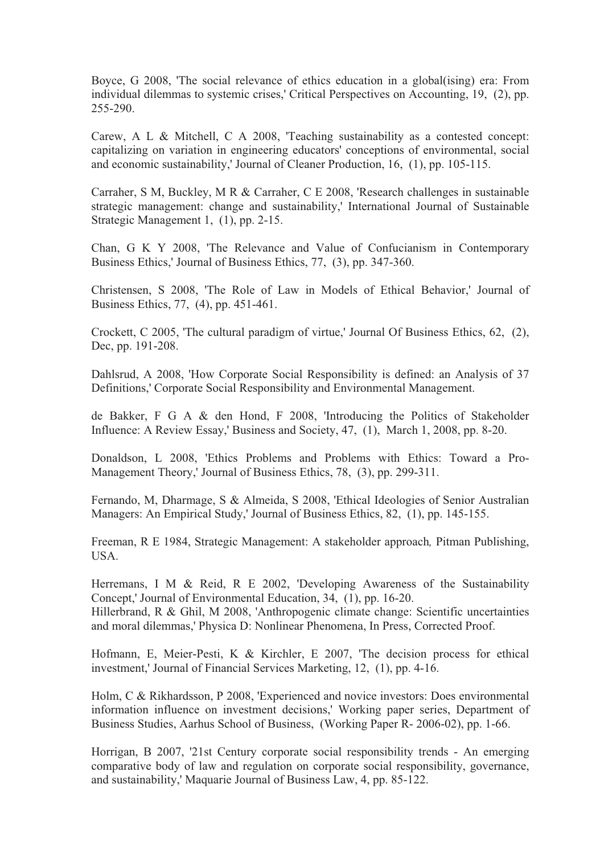Boyce, G 2008, 'The social relevance of ethics education in a global(ising) era: From individual dilemmas to systemic crises,' Critical Perspectives on Accounting, 19, (2), pp. 255-290.

Carew, A L & Mitchell, C A 2008, 'Teaching sustainability as a contested concept: capitalizing on variation in engineering educators' conceptions of environmental, social and economic sustainability,' Journal of Cleaner Production, 16, (1), pp. 105-115.

Carraher, S M, Buckley, M R & Carraher, C E 2008, 'Research challenges in sustainable strategic management: change and sustainability,' International Journal of Sustainable Strategic Management 1, (1), pp. 2-15.

Chan, G K Y 2008, 'The Relevance and Value of Confucianism in Contemporary Business Ethics,' Journal of Business Ethics, 77, (3), pp. 347-360.

Christensen, S 2008, 'The Role of Law in Models of Ethical Behavior,' Journal of Business Ethics, 77, (4), pp. 451-461.

Crockett, C 2005, 'The cultural paradigm of virtue,' Journal Of Business Ethics, 62, (2), Dec, pp. 191-208.

Dahlsrud, A 2008, 'How Corporate Social Responsibility is defined: an Analysis of 37 Definitions,' Corporate Social Responsibility and Environmental Management.

de Bakker, F G A & den Hond, F 2008, 'Introducing the Politics of Stakeholder Influence: A Review Essay,' Business and Society, 47, (1), March 1, 2008, pp. 8-20.

Donaldson, L 2008, 'Ethics Problems and Problems with Ethics: Toward a Pro-Management Theory,' Journal of Business Ethics, 78, (3), pp. 299-311.

Fernando, M, Dharmage, S & Almeida, S 2008, 'Ethical Ideologies of Senior Australian Managers: An Empirical Study,' Journal of Business Ethics, 82, (1), pp. 145-155.

Freeman, R E 1984, Strategic Management: A stakeholder approach*,* Pitman Publishing, USA.

Herremans, I M & Reid, R E 2002, 'Developing Awareness of the Sustainability Concept,' Journal of Environmental Education, 34, (1), pp. 16-20.

Hillerbrand, R & Ghil, M 2008, 'Anthropogenic climate change: Scientific uncertainties and moral dilemmas,' Physica D: Nonlinear Phenomena, In Press, Corrected Proof.

Hofmann, E, Meier-Pesti, K & Kirchler, E 2007, 'The decision process for ethical investment,' Journal of Financial Services Marketing, 12, (1), pp. 4-16.

Holm, C & Rikhardsson, P 2008, 'Experienced and novice investors: Does environmental information influence on investment decisions,' Working paper series, Department of Business Studies, Aarhus School of Business, (Working Paper R- 2006-02), pp. 1-66.

Horrigan, B 2007, '21st Century corporate social responsibility trends - An emerging comparative body of law and regulation on corporate social responsibility, governance, and sustainability,' Maquarie Journal of Business Law, 4, pp. 85-122.